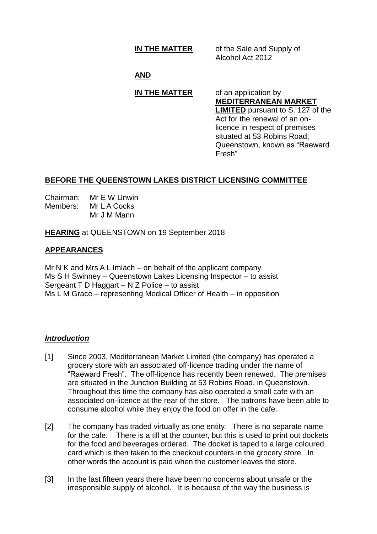**IN THE MATTER** of the Sale and Supply of Alcohol Act 2012

# **AND**

# **IN THE MATTER** of an application by

**MEDITERRANEAN MARKET LIMITED** pursuant to S. 127 of the Act for the renewal of an onlicence in respect of premises situated at 53 Robins Road, Queenstown, known as "Raeward Fresh"

# **BEFORE THE QUEENSTOWN LAKES DISTRICT LICENSING COMMITTEE**

| Chairman: | Mr E W Unwin |
|-----------|--------------|
| Members:  | Mr L A Cocks |
|           | Mr J M Mann  |

**HEARING** at QUEENSTOWN on 19 September 2018

### **APPEARANCES**

Mr N K and Mrs A L Imlach – on behalf of the applicant company Ms S H Swinney – Queenstown Lakes Licensing Inspector – to assist Sergeant T D Haggart – N Z Police – to assist Ms L M Grace – representing Medical Officer of Health – in opposition

#### *Introduction*

- [1] Since 2003, Mediterranean Market Limited (the company) has operated a grocery store with an associated off-licence trading under the name of "Raeward Fresh". The off-licence has recently been renewed. The premises are situated in the Junction Building at 53 Robins Road, in Queenstown. Throughout this time the company has also operated a small cafe with an associated on-licence at the rear of the store. The patrons have been able to consume alcohol while they enjoy the food on offer in the cafe.
- [2] The company has traded virtually as one entity. There is no separate name for the cafe. There is a till at the counter, but this is used to print out dockets for the food and beverages ordered. The docket is taped to a large coloured card which is then taken to the checkout counters in the grocery store. In other words the account is paid when the customer leaves the store.
- [3] In the last fifteen years there have been no concerns about unsafe or the irresponsible supply of alcohol. It is because of the way the business is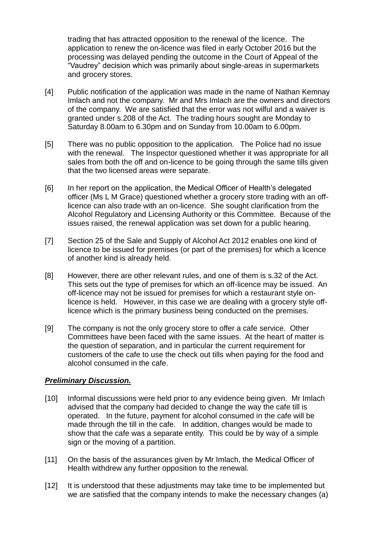trading that has attracted opposition to the renewal of the licence. The application to renew the on-licence was filed in early October 2016 but the processing was delayed pending the outcome in the Court of Appeal of the "Vaudrey" decision which was primarily about single-areas in supermarkets and grocery stores.

- [4] Public notification of the application was made in the name of Nathan Kemnay Imlach and not the company. Mr and Mrs Imlach are the owners and directors of the company. We are satisfied that the error was not wilful and a waiver is granted under s.208 of the Act. The trading hours sought are Monday to Saturday 8.00am to 6.30pm and on Sunday from 10.00am to 6.00pm.
- [5] There was no public opposition to the application. The Police had no issue with the renewal. The Inspector questioned whether it was appropriate for all sales from both the off and on-licence to be going through the same tills given that the two licensed areas were separate.
- [6] In her report on the application, the Medical Officer of Health's delegated officer (Ms L M Grace) questioned whether a grocery store trading with an offlicence can also trade with an on-licence. She sought clarification from the Alcohol Regulatory and Licensing Authority or this Committee. Because of the issues raised, the renewal application was set down for a public hearing.
- [7] Section 25 of the Sale and Supply of Alcohol Act 2012 enables one kind of licence to be issued for premises (or part of the premises) for which a licence of another kind is already held.
- [8] However, there are other relevant rules, and one of them is s.32 of the Act. This sets out the type of premises for which an off-licence may be issued. An off-licence may not be issued for premises for which a restaurant style onlicence is held. However, in this case we are dealing with a grocery style offlicence which is the primary business being conducted on the premises.
- [9] The company is not the only grocery store to offer a cafe service. Other Committees have been faced with the same issues. At the heart of matter is the question of separation, and in particular the current requirement for customers of the cafe to use the check out tills when paying for the food and alcohol consumed in the cafe.

# *Preliminary Discussion.*

- [10] Informal discussions were held prior to any evidence being given. Mr Imlach advised that the company had decided to change the way the cafe till is operated. In the future, payment for alcohol consumed in the cafe will be made through the till in the cafe. In addition, changes would be made to show that the cafe was a separate entity. This could be by way of a simple sign or the moving of a partition.
- [11] On the basis of the assurances given by Mr Imlach, the Medical Officer of Health withdrew any further opposition to the renewal.
- [12] It is understood that these adjustments may take time to be implemented but we are satisfied that the company intends to make the necessary changes (a)